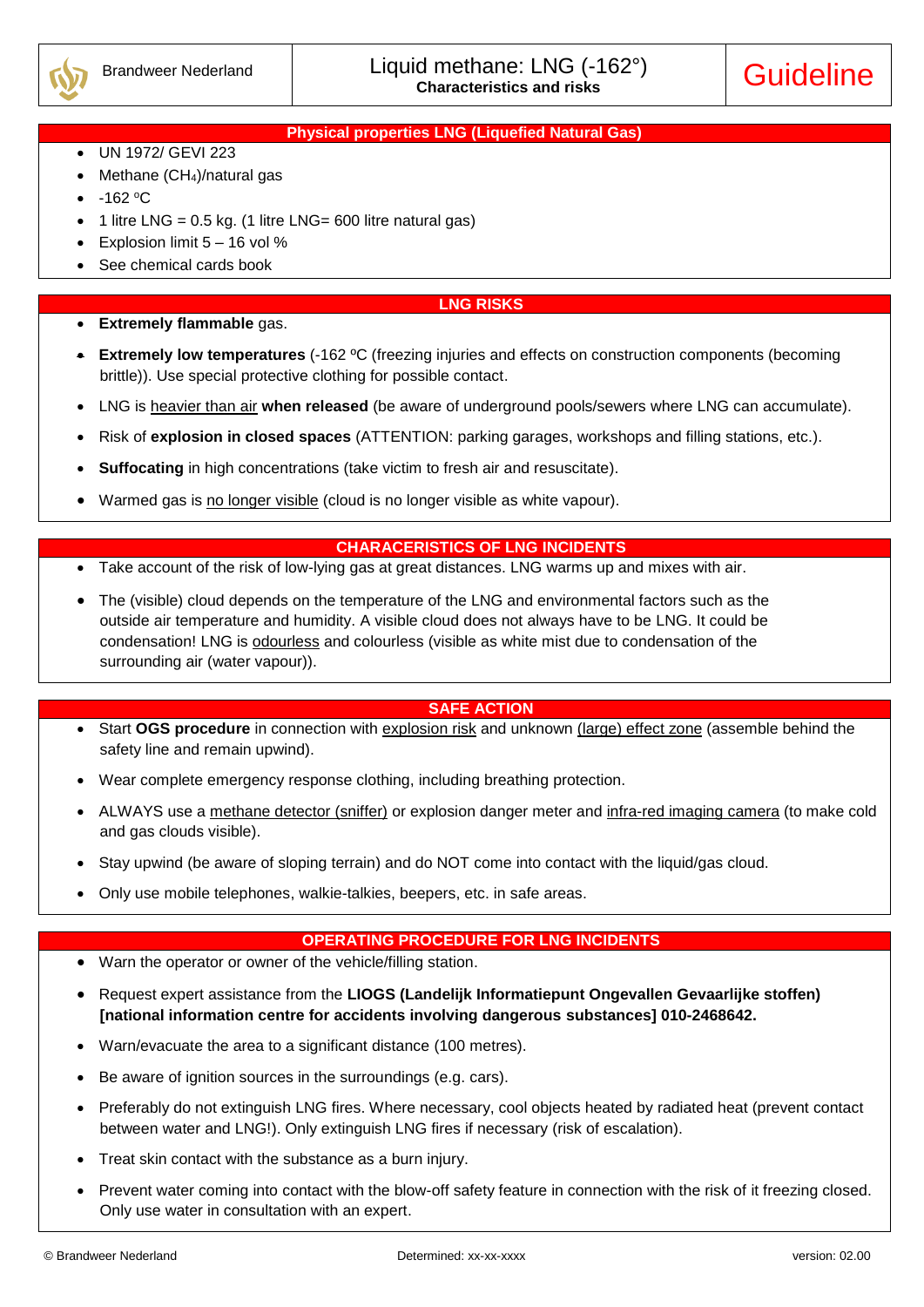

## **Physical properties LNG (Liquefied Natural Gas)**

- UN 1972/ GEVI 223
- Methane (CH4)/natural gas
- $-162$  °C
- 1 litre LNG =  $0.5$  kg. (1 litre LNG= 600 litre natural gas)
- Explosion limit  $5 16$  vol %
- See chemical cards book

#### **LNG RISKS**

- **Extremely flammable** gas.
- **Extremely low temperatures** (-162 ºC (freezing injuries and effects on construction components (becoming brittle)). Use special protective clothing for possible contact.
- LNG is heavier than air **when released** (be aware of underground pools/sewers where LNG can accumulate).
- Risk of **explosion in closed spaces** (ATTENTION: parking garages, workshops and filling stations, etc.).
- **Suffocating** in high concentrations (take victim to fresh air and resuscitate).
- Warmed gas is no longer visible (cloud is no longer visible as white vapour).

#### **CHARACERISTICS OF LNG INCIDENTS**

- Take account of the risk of low-lying gas at great distances. LNG warms up and mixes with air.
- The (visible) cloud depends on the temperature of the LNG and environmental factors such as the outside air temperature and humidity. A visible cloud does not always have to be LNG. It could be condensation! LNG is **odourless** and colourless (visible as white mist due to condensation of the surrounding air (water vapour)).

#### **SAFE ACTION**

- Start OGS procedure in connection with **explosion risk** and unknown (large) effect zone (assemble behind the safety line and remain upwind).
- Wear complete emergency response clothing, including breathing protection.
- ALWAYS use a methane detector (sniffer) or explosion danger meter and infra-red imaging camera (to make cold and gas clouds visible).
- Stay upwind (be aware of sloping terrain) and do NOT come into contact with the liquid/gas cloud.
- Only use mobile telephones, walkie-talkies, beepers, etc. in safe areas.

## **OPERATING PROCEDURE FOR LNG INCIDENTS**

- Warn the operator or owner of the vehicle/filling station.
- Request expert assistance from the **LIOGS (Landelijk Informatiepunt Ongevallen Gevaarlijke stoffen) [national information centre for accidents involving dangerous substances] 010-2468642.**
- Warn/evacuate the area to a significant distance (100 metres).
- Be aware of ignition sources in the surroundings (e.g. cars).
- Preferably do not extinguish LNG fires. Where necessary, cool objects heated by radiated heat (prevent contact between water and LNG!). Only extinguish LNG fires if necessary (risk of escalation).
- Treat skin contact with the substance as a burn injury.
- Prevent water coming into contact with the blow-off safety feature in connection with the risk of it freezing closed. Only use water in consultation with an expert.